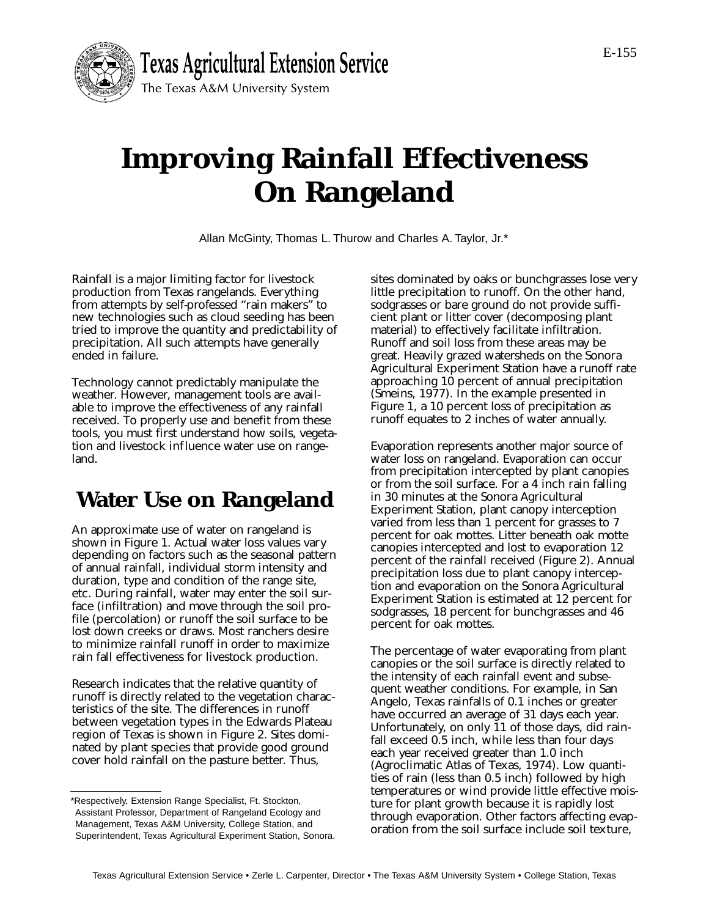

# **Improving Rainfall Effectiveness On Rangeland**

Allan McGinty, Thomas L. Thurow and Charles A. Taylor, Jr.\*

Rainfall is a major limiting factor for livestock production from Texas rangelands. Everything from attempts by self-professed "rain makers" to new technologies such as cloud seeding has been tried to improve the quantity and predictability of precipitation. All such attempts have generally ended in failure.

Technology cannot predictably manipulate the weather. However, management tools are available to improve the effectiveness of any rainfall received. To properly use and benefit from these tools, you must first understand how soils, vegetation and livestock influence water use on rangeland.

## **Water Use on Rangeland**

An approximate use of water on rangeland is shown in Figure 1. Actual water loss values vary depending on factors such as the seasonal pattern of annual rainfall, individual storm intensity and duration, type and condition of the range site, etc. During rainfall, water may enter the soil surface (infiltration) and move through the soil profile (percolation) or runoff the soil surface to be lost down creeks or draws. Most ranchers desire to minimize rainfall runoff in order to maximize rain fall effectiveness for livestock production.

Research indicates that the relative quantity of runoff is directly related to the vegetation characteristics of the site. The differences in runoff between vegetation types in the Edwards Plateau region of Texas is shown in Figure 2. Sites dominated by plant species that provide good ground cover hold rainfall on the pasture better. Thus,

sites dominated by oaks or bunchgrasses lose very little precipitation to runoff. On the other hand, sodgrasses or bare ground do not provide sufficient plant or litter cover (decomposing plant material) to effectively facilitate infiltration. Runoff and soil loss from these areas may be great. Heavily grazed watersheds on the Sonora Agricultural Experiment Station have a runoff rate approaching 10 percent of annual precipitation (Smeins, 1977). In the example presented in Figure 1, a 10 percent loss of precipitation as runoff equates to 2 inches of water annually.

Evaporation represents another major source of water loss on rangeland. Evaporation can occur from precipitation intercepted by plant canopies or from the soil surface. For a 4 inch rain falling in 30 minutes at the Sonora Agricultural Experiment Station, plant canopy interception varied from less than 1 percent for grasses to 7 percent for oak mottes. Litter beneath oak motte canopies intercepted and lost to evaporation 12 percent of the rainfall received (Figure 2). Annual precipitation loss due to plant canopy interception and evaporation on the Sonora Agricultural Experiment Station is estimated at 12 percent for sodgrasses, 18 percent for bunchgrasses and 46 percent for oak mottes.

The percentage of water evaporating from plant canopies or the soil surface is directly related to the intensity of each rainfall event and subsequent weather conditions. For example, in San Angelo, Texas rainfalls of 0.1 inches or greater have occurred an average of 31 days each year. Unfortunately, on only 11 of those days, did rainfall exceed 0.5 inch, while less than four days each year received greater than 1.0 inch (Agroclimatic Atlas of Texas, 1974). Low quantities of rain (less than 0.5 inch) followed by high temperatures or wind provide little effective moisture for plant growth because it is rapidly lost through evaporation. Other factors affecting evaporation from the soil surface include soil texture,

<sup>\*</sup>Respectively, Extension Range Specialist, Ft. Stockton, Assistant Professor, Department of Rangeland Ecology and Management, Texas A&M University, College Station, and Superintendent, Texas Agricultural Experiment Station, Sonora.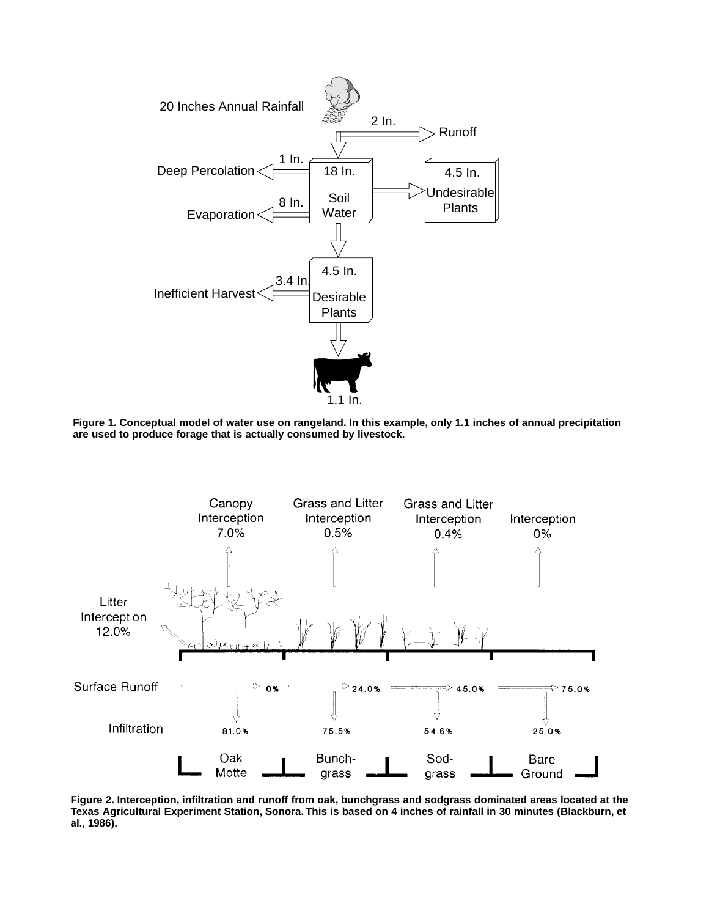

**Figure 1. Conceptual model of water use on rangeland. In this example, only 1.1 inches of annual precipitation are used to produce forage that is actually consumed by livestock.**



**Figure 2. Interception, infiltration and runoff from oak, bunchgrass and sodgrass dominated areas located at the Texas Agricultural Experiment Station, Sonora. This is based on 4 inches of rainfall in 30 minutes (Blackburn, et al., 1986).**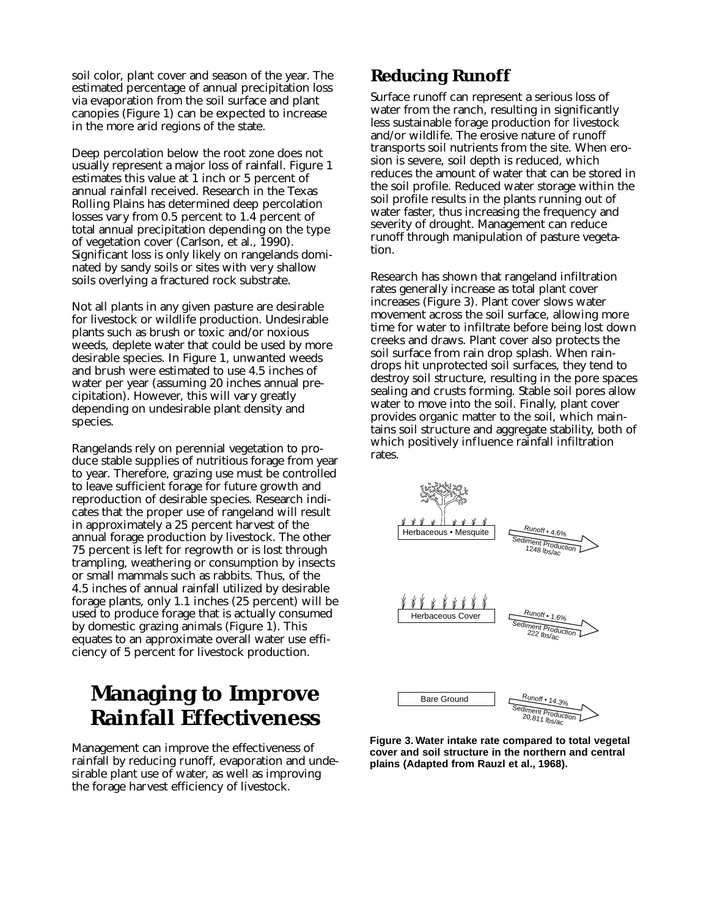soil color, plant cover and season of the year. The estimated percentage of annual precipitation loss via evaporation from the soil surface and plant canopies (Figure 1) can be expected to increase in the more arid regions of the state.

Deep percolation below the root zone does not usually represent a major loss of rainfall. Figure 1 estimates this value at 1 inch or 5 percent of annual rainfall received. Research in the Texas Rolling Plains has determined deep percolation losses vary from 0.5 percent to 1.4 percent of total annual precipitation depending on the type of vegetation cover (Carlson, et al., 1990). Significant loss is only likely on rangelands dominated by sandy soils or sites with very shallow soils overlying a fractured rock substrate.

Not all plants in any given pasture are desirable for livestock or wildlife production. Undesirable plants such as brush or toxic and/or noxious weeds, deplete water that could be used by more desirable species. In Figure 1, unwanted weeds and brush were estimated to use 4.5 inches of water per year (assuming 20 inches annual precipitation). However, this will vary greatly depending on undesirable plant density and species.

Rangelands rely on perennial vegetation to produce stable supplies of nutritious forage from year to year. Therefore, grazing use must be controlled to leave sufficient forage for future growth and reproduction of desirable species. Research indicates that the proper use of rangeland will result in approximately a 25 percent harvest of the annual forage production by livestock. The other 75 percent is left for regrowth or is lost through trampling, weathering or consumption by insects or small mammals such as rabbits. Thus, of the 4.5 inches of annual rainfall utilized by desirable forage plants, only 1.1 inches (25 percent) will be used to produce forage that is actually consumed by domestic grazing animals (Figure 1). This equates to an approximate overall water use efficiency of 5 percent for livestock production.

### **Managing to Improve Rainfall Effectiveness**

Management can improve the effectiveness of rainfall by reducing runoff, evaporation and undesirable plant use of water, as well as improving the forage harvest efficiency of livestock.

#### **Reducing Runoff**

Surface runoff can represent a serious loss of water from the ranch, resulting in significantly less sustainable forage production for livestock and/or wildlife. The erosive nature of runoff transports soil nutrients from the site. When erosion is severe, soil depth is reduced, which reduces the amount of water that can be stored in the soil profile. Reduced water storage within the soil profile results in the plants running out of water faster, thus increasing the frequency and severity of drought. Management can reduce runoff through manipulation of pasture vegetation.

Research has shown that rangeland infiltration rates generally increase as total plant cover increases (Figure 3). Plant cover slows water movement across the soil surface, allowing more time for water to infiltrate before being lost down creeks and draws. Plant cover also protects the soil surface from rain drop splash. When raindrops hit unprotected soil surfaces, they tend to destroy soil structure, resulting in the pore spaces sealing and crusts forming. Stable soil pores allow water to move into the soil. Finally, plant cover provides organic matter to the soil, which maintains soil structure and aggregate stability, both of which positively influence rainfall infiltration rates.



**Figure 3. Water intake rate compared to total vegetal cover and soil structure in the northern and central plains (Adapted from Rauzl et al., 1968).**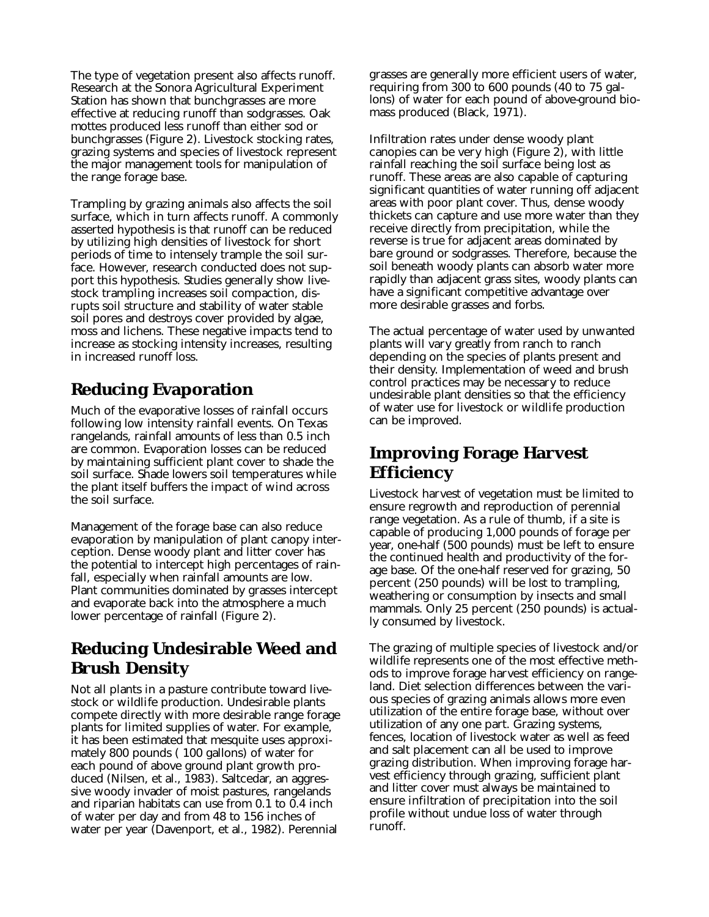The type of vegetation present also affects runoff. Research at the Sonora Agricultural Experiment Station has shown that bunchgrasses are more effective at reducing runoff than sodgrasses. Oak mottes produced less runoff than either sod or bunchgrasses (Figure 2). Livestock stocking rates, grazing systems and species of livestock represent the major management tools for manipulation of the range forage base.

Trampling by grazing animals also affects the soil surface, which in turn affects runoff. A commonly asserted hypothesis is that runoff can be reduced by utilizing high densities of livestock for short periods of time to intensely trample the soil surface. However, research conducted does not support this hypothesis. Studies generally show livestock trampling increases soil compaction, disrupts soil structure and stability of water stable soil pores and destroys cover provided by algae, moss and lichens. These negative impacts tend to increase as stocking intensity increases, resulting in increased runoff loss.

#### **Reducing Evaporation**

Much of the evaporative losses of rainfall occurs following low intensity rainfall events. On Texas rangelands, rainfall amounts of less than 0.5 inch are common. Evaporation losses can be reduced by maintaining sufficient plant cover to shade the soil surface. Shade lowers soil temperatures while the plant itself buffers the impact of wind across the soil surface.

Management of the forage base can also reduce evaporation by manipulation of plant canopy interception. Dense woody plant and litter cover has the potential to intercept high percentages of rainfall, especially when rainfall amounts are low. Plant communities dominated by grasses intercept and evaporate back into the atmosphere a much lower percentage of rainfall (Figure 2).

#### **Reducing Undesirable Weed and Brush Density**

Not all plants in a pasture contribute toward livestock or wildlife production. Undesirable plants compete directly with more desirable range forage plants for limited supplies of water. For example, it has been estimated that mesquite uses approximately 800 pounds ( 100 gallons) of water for each pound of above ground plant growth produced (Nilsen, et al., 1983). Saltcedar, an aggressive woody invader of moist pastures, rangelands and riparian habitats can use from 0.1 to 0.4 inch of water per day and from 48 to 156 inches of water per year (Davenport, et al., 1982). Perennial

grasses are generally more efficient users of water, requiring from 300 to 600 pounds (40 to 75 gallons) of water for each pound of above-ground biomass produced (Black, 1971).

Infiltration rates under dense woody plant canopies can be very high (Figure 2), with little rainfall reaching the soil surface being lost as runoff. These areas are also capable of capturing significant quantities of water running off adjacent areas with poor plant cover. Thus, dense woody thickets can capture and use more water than they receive directly from precipitation, while the reverse is true for adjacent areas dominated by bare ground or sodgrasses. Therefore, because the soil beneath woody plants can absorb water more rapidly than adjacent grass sites, woody plants can have a significant competitive advantage over more desirable grasses and forbs.

The actual percentage of water used by unwanted plants will vary greatly from ranch to ranch depending on the species of plants present and their density. Implementation of weed and brush control practices may be necessary to reduce undesirable plant densities so that the efficiency of water use for livestock or wildlife production can be improved.

#### **Improving Forage Harvest Efficiency**

Livestock harvest of vegetation must be limited to ensure regrowth and reproduction of perennial range vegetation. As a rule of thumb, if a site is capable of producing 1,000 pounds of forage per year, one-half (500 pounds) must be left to ensure the continued health and productivity of the forage base. Of the one-half reserved for grazing, 50 percent (250 pounds) will be lost to trampling, weathering or consumption by insects and small mammals. Only 25 percent (250 pounds) is actually consumed by livestock.

The grazing of multiple species of livestock and/or wildlife represents one of the most effective methods to improve forage harvest efficiency on rangeland. Diet selection differences between the various species of grazing animals allows more even utilization of the entire forage base, without over utilization of any one part. Grazing systems, fences, location of livestock water as well as feed and salt placement can all be used to improve grazing distribution. When improving forage harvest efficiency through grazing, sufficient plant and litter cover must always be maintained to ensure infiltration of precipitation into the soil profile without undue loss of water through runoff.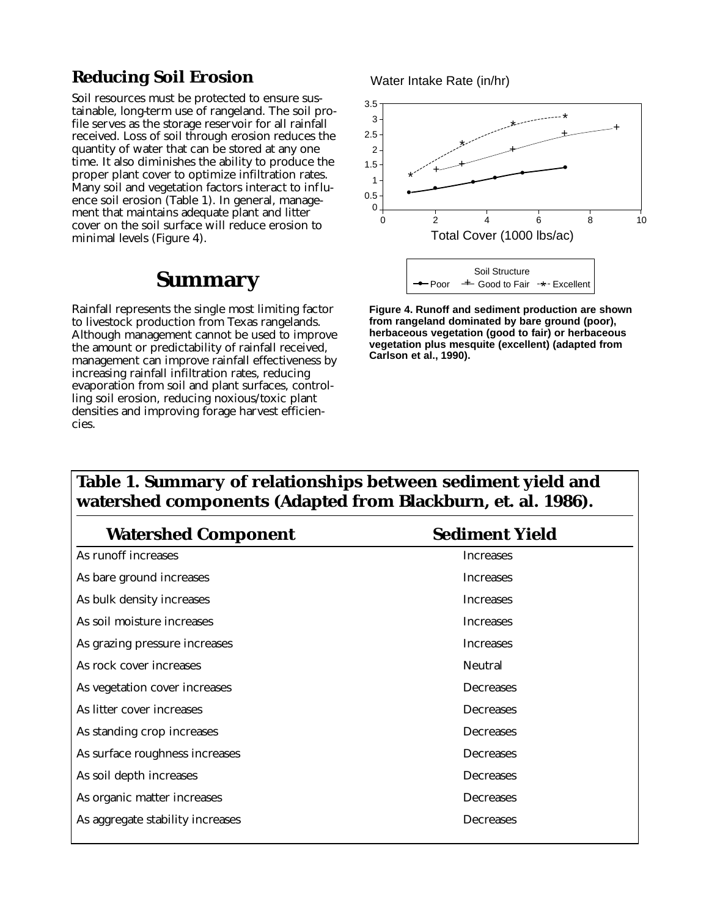#### **Reducing Soil Erosion**

Soil resources must be protected to ensure sustainable, long-term use of rangeland. The soil profile serves as the storage reservoir for all rainfall received. Loss of soil through erosion reduces the quantity of water that can be stored at any one time. It also diminishes the ability to produce the proper plant cover to optimize infiltration rates. Many soil and vegetation factors interact to influence soil erosion (Table 1). In general, management that maintains adequate plant and litter cover on the soil surface will reduce erosion to minimal levels (Figure 4).

### **Summary**

Rainfall represents the single most limiting factor to livestock production from Texas rangelands. Although management cannot be used to improve the amount or predictability of rainfall received, management can improve rainfall effectiveness by increasing rainfall infiltration rates, reducing evaporation from soil and plant surfaces, controlling soil erosion, reducing noxious/toxic plant densities and improving forage harvest efficiencies.

Water Intake Rate (in/hr)



**Figure 4. Runoff and sediment production are shown from rangeland dominated by bare ground (poor), herbaceous vegetation (good to fair) or herbaceous vegetation plus mesquite (excellent) (adapted from Carlson et al., 1990).**

#### **Table 1. Summary of relationships between sediment yield and watershed components (Adapted from Blackburn, et. al. 1986).**

| <b>Watershed Component</b>       | <b>Sediment Yield</b> |
|----------------------------------|-----------------------|
| As runoff increases              | Increases             |
| As bare ground increases         | Increases             |
| As bulk density increases        | <b>Increases</b>      |
| As soil moisture increases       | Increases             |
| As grazing pressure increases    | <b>Increases</b>      |
| As rock cover increases          | <b>Neutral</b>        |
| As vegetation cover increases    | Decreases             |
| As litter cover increases        | Decreases             |
| As standing crop increases       | Decreases             |
| As surface roughness increases   | Decreases             |
| As soil depth increases          | Decreases             |
| As organic matter increases      | Decreases             |
| As aggregate stability increases | Decreases             |